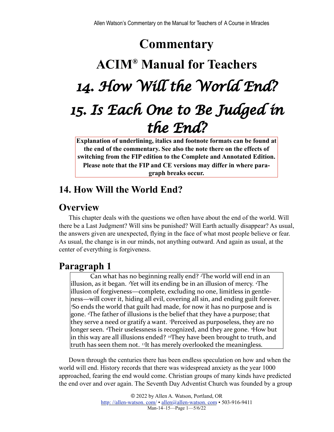# **Commentary**

# **ACIM® Manual for Teachers** *14. How Will the World End? 15. Is Each One to Be Judged in the End?*

**Explanation of underlining, italics and footnote formats can be found at the end of the commentary. See also the note there on the effects of switching from the FIP edition to the Complete and Annotated Edition. Please note that the FIP and CE versions may differ in where paragraph breaks occur.**

# **14. How Will the World End?**

# **Overview**

This chapter deals with the questions we often have about the end of the world. Will there be a Last Judgment? Will sins be punished? Will Earth actually disappear? As usual, the answers given are unexpected, flying in the face of what most people believe or fear. As usual, the change is in our minds, not anything outward. And again as usual, at the center of everything is forgiveness.

# **Paragraph 1**

Can what has no beginning really end? <sup>2</sup>The world will end in an illusion, as it began. <sup>3</sup>Yet will its ending be in an illusion of mercy. <sup>4</sup>The illusion of forgiveness—complete, excluding no one, limitless in gentleness—will cover it, hiding all evil, covering all sin, and ending guilt forever. <sup>5</sup>So ends the world that guilt had made, for now it has no purpose and is gone. *The father of illusions is the belief that they have a purpose; that* they serve a need or gratify a want. <sup>7</sup>Perceived as purposeless, they are no longer seen. *<sup><i>s*</sup>Their uselessness is recognized, and they are gone. *<sup>9</sup>How but* in this way are all illusions ended? <sup>10</sup>They have been brought to truth, and truth has seen them not. <sup>11</sup>It has merely overlooked the meaningless.

Down through the centuries there has been endless speculation on how and when the world will end. History records that there was widespread anxiety as the year 1000 approached, fearing the end would come. Christian groups of many kinds have predicted the end over and over again. The Seventh Day Adventist Church was founded by a group

> © 2022 by Allen A. Watson, Portland, OR http://allen-watson.com/ • allen@allen-watson.com • 503-916-9411 Man-14–15—Page 1—5/6/22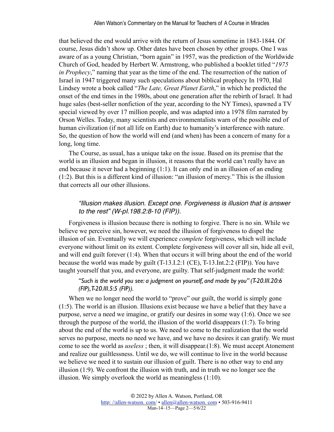that believed the end would arrive with the return of Jesus sometime in 1843-1844. Of course, Jesus didn't show up. Other dates have been chosen by other groups. One I was aware of as a young Christian, "born again" in 1957, was the prediction of the Worldwide Church of God, headed by Herbert W. Armstrong, who published a booklet titled "*1975 in Prophecy*," naming that year as the time of the end. The resurrection of the nation of Israel in 1947 triggered many such speculations about biblical prophecy In 1970, Hal Lindsey wrote a book called "*The Late, Great Planet Earth*," in which he predicted the onset of the end times in the 1980s, about one generation after the rebirth of Israel. It had huge sales (best-seller nonfiction of the year, according to the NY Times), spawned a TV special viewed by over 17 million people, and was adapted into a 1978 film narrated by Orson Welles. Today, many scientists and environmentalists warn of the possible end of human civilization (if not all life on Earth) due to humanity's interference with nature. So, the question of how the world will end (and when) has been a concern of many for a long, long time.

The Course, as usual, has a unique take on the issue. Based on its premise that the world is an illusion and began in illusion, it reasons that the world can't really have an end because it never had a beginning (1:1). It can only end in an illusion of an ending (1:2). But this is a different kind of illusion: "an illusion of mercy." This is the illusion that corrects all our other illusions.

### *"Illusion makes illusion. Except one. Forgiveness is illusion that is answer to the rest" (W-pI.198.2:8-10 (FIP)).*

Forgiveness is illusion because there is nothing to forgive. There is no sin. While we believe we perceive sin, however, we need the illusion of forgiveness to dispel the illusion of sin. Eventually we will experience *complete* forgiveness, which will include everyone without limit on its extent. Complete forgiveness will cover all sin, hide all evil, and will end guilt forever (1:4). When that occurs it will bring about the end of the world because the world was made by guilt (T-13.I.2:1 (CE), T-13.Int.2:2 (FIP)). You have taught yourself that you, and everyone, are guilty. That self-judgment made the world:

### *"Such is the world you see: a judgment on yourself, and made by you" (T-20.III.20:6 (FIP), T-20.III.5:5 (FIP)).*

When we no longer need the world to "prove" our guilt, the world is simply gone (1:5). The world is an illusion. Illusions exist because we have a belief that they have a purpose, serve a need we imagine, or gratify our desires in some way (1:6). Once we see through the purpose of the world, the illusion of the world disappears (1:7). To bring about the end of the world is up to us. We need to come to the realization that the world serves no purpose, meets no need we have, and we have no desires it can gratify. We must come to see the world as *useless* ; then, it will disappear.(1:8). We must accept Atonement and realize our guiltlessness. Until we do, we will continue to live in the world because we believe we need it to sustain our illusion of guilt. There is no other way to end any illusion (1:9). We confront the illusion with truth, and in truth we no longer see the illusion. We simply overlook the world as meaningless (1:10).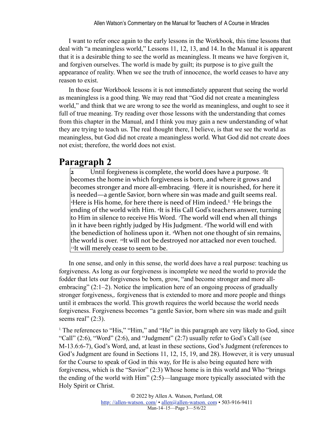I want to refer once again to the early lessons in the Workbook, this time lessons that deal with "a meaningless world," Lessons 11, 12, 13, and 14. In the Manual it is apparent that it is a desirable thing to see the world as meaningless. It means we have forgiven it, and forgiven ourselves. The world is made by guilt; its purpose is to give guilt the appearance of reality. When we see the truth of innocence, the world ceases to have any reason to exist.

In those four Workbook lessons it is not immediately apparent that seeing the world as meaningless is a good thing. We may read that "God did not create a meaningless world," and think that we are wrong to see the world as meaningless, and ought to see it full of true meaning. Try reading over those lessons with the understanding that comes from this chapter in the Manual, and I think you may gain a new understanding of what they are trying to teach us. The real thought there, I believe, is that we see the world as meaningless, but God did not create a meaningless world. What God did not create does not exist; therefore, the world does not exist.

## **Paragraph 2**

<span id="page-2-1"></span>**2** Until forgiveness is complete, the world does have a purpose. <sup>2</sup>It becomes the home in which forgiveness is born, and where it grows and becomes stronger and more all-embracing. <sup>3</sup>Here it is nourished, for here it is needed—a gentle Savior, born where sin was made and guilt seems real. <sup>4</sup>Here is His home, for here there is need of Him indeed.<sup>1</sup> <sup>5</sup>He brings the ending of the world with Him. <sup>*o*It is His Call God's teachers answer, turning</sup> to Him in silence to receive His Word. *The* world will end when all things in it have been rightly judged by His Judgment. <sup>*«*The world will end with</sup> the benediction of holiness upon it. <sup>*I*</sup>When not one thought of sin remains, the world is over. <sup>10</sup>It will not be destroyed nor attacked nor even touched.  $\mu$ It will merely cease to seem to be.

In one sense, and only in this sense, the world does have a real purpose: teaching us forgiveness. As long as our forgiveness is incomplete we need the world to provide the fodder that lets our forgiveness be born, grow, "and become stronger and more allembracing" (2:1–2). Notice the implication here of an ongoing process of gradually stronger forgiveness,. forgiveness that is extended to more and more people and things until it embraces the world. This growth requires the world because the world needs forgiveness. Forgiveness becomes "a gentle Savior, born where sin was made and guilt seems real"  $(2:3)$ .

<span id="page-2-0"></span><sup>[1.](#page-2-1)</sup> The references to "His," "Him," and "He" in this paragraph are very likely to God, since "Call"  $(2:6)$ , "Word"  $(2:6)$ , and "Judgment"  $(2:7)$  usually refer to God's Call (see M-13.6:6-7), God's Word, and, at least in these sections, God's Judgment (references to God's Judgment are found in Sections 11, 12, 15, 19, and 28). However, it is very unusual for the Course to speak of God in this way, for He is also being equated here with forgiveness, which is the "Savior" (2:3) Whose home is in this world and Who "brings the ending of the world with Him" (2:5)—language more typically associated with the Holy Spirit or Christ.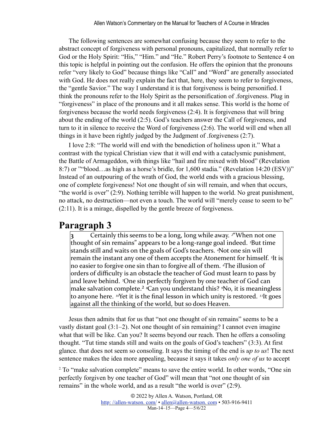The following sentences are somewhat confusing because they seem to refer to the abstract concept of forgiveness with personal pronouns, capitalized, that normally refer to God or the Holy Spirit: "His," "Him." and "He." Robert Perry's footnote to Sentence 4 on this topic is helpful in pointing out the confusion. He offers the opinion that the pronouns refer "very likely to God" because things like "Call" and "Word" are generally associated with God. He does not really explain the fact that, here, they seem to refer to forgiveness, the "gentle Savior." The way I understand it is that forgiveness is being personified. I think the pronouns refer to the Holy Spirit as the personification of .forgiveness. Plug in "forgiveness" in place of the pronouns and it all makes sense. This world is the home of forgiveness because the world needs forgiveness (2:4). It is forgiveness that will bring about the ending of the world (2:5). God's teachers answer the Call of forgiveness, and turn to it in silence to receive the Word of forgiveness (2:6). The world will end when all things in it have been rightly judged by the Judgment of .forgiveness (2:7).

I love 2:8: "The world will end with the benediction of holiness upon it." What a contrast with the typical Christian view that it will end with a cataclysmic punishment, the Battle of Armageddon, with things like "hail and fire mixed with blood" (Revelation 8:7) or ""blood...as high as a horse's bridle, for 1,600 stadia." (Revelation 14:20 (ESV))" Instead of an outpouring of the wrath of God, the world ends with a gracious blessing, one of complete forgiveness! Not one thought of sin will remain, and when that occurs, "the world is over" (2:9). Nothing terrible will happen to the world. No great punishment, no attack, no destruction—not even a touch. The world will "merely cease to seem to be" (2:11). It is a mirage, dispelled by the gentle breeze of forgiveness.

### **Paragraph 3**

Certainly this seems to be a long, long while away. <sup>*2*"</sup>When not one thought of sin remains" appears to be a long-range goal indeed. <sup>3</sup>But time stands still and waits on the goals of God's teachers. <sup>4</sup>Not one sin will remain the instant any one of them accepts the Atonement for himself. <sup>5</sup>It is no easier to forgive one sin than to forgive all of them. <sup>*«*The illusion of</sup> orders of difficulty is an obstacle the teacher of God must learn to pass by and leave behind. <sup>7</sup>One sin perfectly forgiven by one teacher of God can make salvation complete.<sup>2</sup> <sup>*s*</sup>Can you understand this? *<sup>2</sup>No*, it is meaningless to anyone here. <sup>10</sup>Yet it is the final lesson in which unity is restored. <sup>11</sup>It goes against all the thinking of the world, but so does Heaven.

<span id="page-3-1"></span>Jesus then admits that for us that "not one thought of sin remains" seems to be a vastly distant goal (3:1–2). Not one thought of sin remaining? I cannot even imagine what that will be like. Can you? It seems beyond our reach. Then he offers a consoling thought. "Tut time stands still and waits on the goals of God's teachers" (3:3). At first glance. that does not seem so consoling. It says the timing of the end is *up to us*! The next sentence makes the idea more appealing, because it says it takes *only one of us* to accept

<span id="page-3-0"></span><sup>2</sup>. To "make salvation complete" means to save the entire world. In other words, "One sin perfectly forgiven by one teacher of God" will mean that "not one thought of sin remains" in the whole world, and as a result "the world is over" (2:9).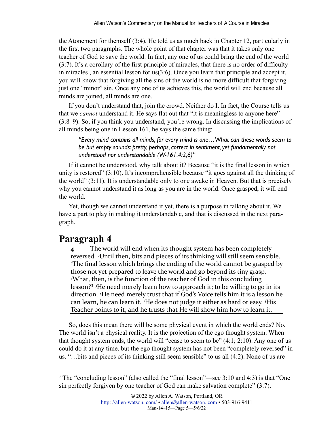the Atonement for themself (3:4). He told us as much back in Chapter 12, particularly in the first two paragraphs. The whole point of that chapter was that it takes only one teacher of God to save the world. In fact, any one of us could bring the end of the world (3:7). It's a corollary of the first principle of miracles, that there is no order of difficulty in miracles , an essential lesson for us(3:6). Once you learn that principle and accept it, you will know that forgiving all the sins of the world is no more difficult that forgiving just one "minor" sin. Once any one of us achieves this, the world will end because all minds are joined, all minds are one.

If you don't understand that, join the crowd. Neither do I. In fact, the Course tells us that we *cannot* understand it. He says flat out that "it is meaningless to anyone here" (3:8–9). So, if you think you understand, you're wrong. In discussing the implications of all minds being one in Lesson 161, he says the same thing:

*"Every mind contains all minds, for every mind is one…What can these words seem to be but empty sounds: pretty, perhaps, correct in sentiment, yet fundamentally not understood nor understandable (W-161.4:2,6)"*

If it cannot be understood, why talk about it? Because "it is the final lesson in which unity is restored" (3:10). It's incomprehensible because "it goes against all the thinking of the world" (3:11). It is understandable only to one awake in Heaven. But that is precisely why you cannot understand it as long as you are in the world. Once grasped, it will end the world.

Yet, though we cannot understand it yet, there is a purpose in talking about it. We have a part to play in making it understandable, and that is discussed in the next paragraph.

# **Paragraph 4**

The world will end when its thought system has been completely reversed. <sup>2</sup>Until then, bits and pieces of its thinking will still seem sensible. <sup>3</sup>The final lesson which brings the ending of the world cannot be grasped by those not yet prepared to leave the world and go beyond its tiny grasp. <sup>4</sup>What, then, is the function of the teacher of God in this concluding lesson?<sup>3</sup> <sup>5</sup>He need merely learn how to approach it; to be willing to go in its direction. <sup>6</sup>He need merely trust that if God's Voice tells him it is a lesson he can learn, he can learn it. <sup>7</sup>He does not judge it either as hard or easy. <sup>8</sup>His Teacher points to it, and he trusts that He will show him how to learn it.

<span id="page-4-1"></span>So, does this mean there will be some physical event in which the world ends? No. The world isn't a physical reality. It is the projection of the ego thought system. When that thought system ends, the world will "cease to seem to be"  $(4:1; 2:10)$ . Any one of us could do it at any time, but the ego thought system has not been "completely reversed" in us. "…bits and pieces of its thinking still seem sensible" to us all (4:2). None of us are

<span id="page-4-0"></span>[3.](#page-4-1)The "concluding lesson" (also called the "final lesson"—see 3:10 and 4:3) is that "One sin perfectly forgiven by one teacher of God can make salvation complete" (3:7).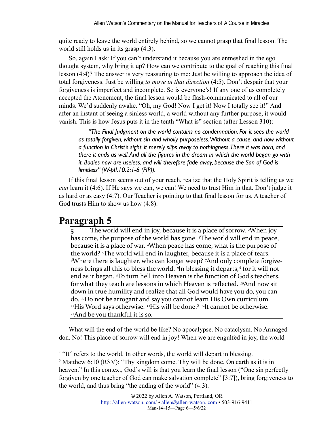quite ready to leave the world entirely behind, so we cannot grasp that final lesson. The world still holds us in its grasp (4:3).

So, again I ask: If you can't understand it because you are enmeshed in the ego thought system, why bring it up? How can we contribute to the goal of reaching this final lesson (4:4)? The answer is very reassuring to me: Just be willing to approach the idea of total forgiveness. Just be willing *to move in that direction* (4:5). Don't despair that your forgiveness is imperfect and incomplete. So is everyone's! If any one of us completely accepted the Atonement, the final lesson would be flash-communicated to all of our minds. We'd suddenly awake. "Oh, my God! Now I get it! Now I totally see it!" And after an instant of seeing a sinless world, a world without any further purpose, it would vanish. This is how Jesus puts it in the tenth "What is" section (after Lesson 310):

*"The Final Judgment on the world contains no condemnation. For it sees the world as totally forgiven, without sin and wholly purposeless. Without a cause, and now without a function in Christ's sight, it merely slips away to nothingness. There it was born, and there it ends as well. And all the figures in the dream in which the world began go with it. Bodies now are useless, and will therefore fade away, because the Son of God is limitless" (W-pII.10.2:1-6 (FIP)).*

If this final lesson seems out of your reach, realize that the Holy Spirit is telling us we *can* learn it (4:6). If He says we can, we can! We need to trust Him in that. Don't judge it as hard or as easy (4:7). Our Teacher is pointing to that final lesson for us. A teacher of God trusts Him to show us how (4:8).

## **Paragraph 5**

<span id="page-5-2"></span>**5** The world will end in joy, because it is a place of sorrow. <sup>2</sup>When joy has come, the purpose of the world has gone. <sup>*3*The world will end in peace,</sup> because it is a place of war. <sup>4</sup>When peace has come, what is the purpose of the world? <sup>*s*</sup>The world will end in laughter, because it is a place of tears. <sup>*«*Where there is laughter, who can longer weep? <sup>7</sup>And only complete forgive-</sup> ness brings all this to bless the world. <sup>*s*In blessing it departs,<sup>4</sup> for it will not</sup> end as it began. *<sup>T</sup>o* turn hell into Heaven is the function of God's teachers, for what they teach are lessons in which Heaven is reflected. <sup>10</sup>And now sit down in true humility and realize that all God would have you do, you can do. <sup>11</sup>Do not be arrogant and say you cannot learn His Own curriculum. <sup>12</sup>His Word says otherwise. <sup>13</sup>His will be done.<sup>5</sup> <sup>14</sup>It cannot be otherwise.  $\mu$ <sub>5</sub>And be you thankful it is so.

<span id="page-5-3"></span>What will the end of the world be like? No apocalypse. No cataclysm. No Armageddon. No! This place of sorrow will end in joy! When we are engulfed in joy, the world

<span id="page-5-1"></span><span id="page-5-0"></span><sup>[4.](#page-5-2) "It"</sup> refers to the world. In other words, the world will depart in blessing. [5.](#page-5-3)Matthew 6:10 (RSV): "Thy kingdom come. Thy will be done, On earth as it is in heaven." In this context, God's will is that you learn the final lesson ("One sin perfectly forgiven by one teacher of God can make salvation complete" [3:7]), bring forgiveness to the world, and thus bring "the ending of the world" (4:3).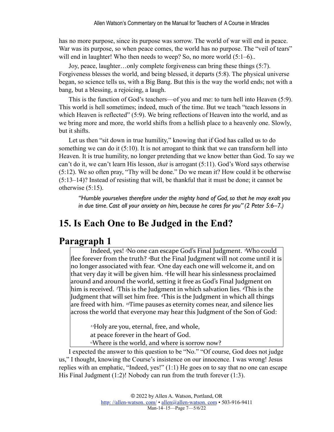has no more purpose, since its purpose was sorrow. The world of war will end in peace. War was its purpose, so when peace comes, the world has no purpose. The "veil of tears" will end in laughter! Who then needs to weep? So, no more world  $(5:1-6)$ ..

Joy, peace, laughter…only complete forgiveness can bring these things (5:7). Forgiveness blesses the world, and being blessed, it departs (5:8). The physical universe began, so science tells us, with a Big Bang. But this is the way the world ends; not with a bang, but a blessing, a rejoicing, a laugh.

This is the function of God's teachers—of you and me: to turn hell into Heaven (5:9). This world is hell sometimes; indeed, much of the time. But we teach "teach lessons in which Heaven is reflected" (5:9). We bring reflections of Heaven into the world, and as we bring more and more, the world shifts from a hellish place to a heavenly one. Slowly, but it shifts.

Let us then "sit down in true humility," knowing that if God has called us to do something we can do it (5:10). It is not arrogant to think that we can transform hell into Heaven. It is true humility, no longer pretending that we know better than God. To say we can't do it, we can't learn His lesson, *that* is arrogant (5:11). God's Word says otherwise (5:12). We so often pray, "Thy will be done." Do we mean it? How could it be otherwise (5:13–14)? Instead of resisting that will, be thankful that it must be done; it cannot be otherwise (5:15).

*"Humble yourselves therefore under the mighty hand of God, so that he may exalt you in due time. Cast all your anxiety on him, because he cares for you" (2 Peter 5:6–7.)*

# **15. Is Each One to Be Judged in the End?**

# **Paragraph 1**

Indeed, yes! <sup>2</sup>No one can escape God's Final Judgment. <sup>3</sup>Who could flee forever from the truth? <sup>4</sup>But the Final Judgment will not come until it is no longer associated with fear. <sup>5</sup>One day each one will welcome it, and on that very day it will be given him. <sup>*«*He will hear his sinlessness proclaimed</sup> around and around the world, setting it free as God's Final Judgment on him is received. *This* is the Judgment in which salvation lies. *If his* is the Judgment that will set him free. *<sup>This is* the Judgment in which all things</sup> are freed with him. <sup>10</sup>Time pauses as eternity comes near, and silence lies across the world that everyone may hear this Judgment of the Son of God:

<sup>11</sup>Holy are you, eternal, free, and whole, at peace forever in the heart of God. <sup>12</sup>Where is the world, and where is sorrow now?

I expected the answer to this question to be "No." "Of course, God does not judge us," I thought, knowing the Course's insistence on our innocence. I was wrong! Jesus replies with an emphatic, "Indeed, yes!" (1:1) He goes on to say that no one can escape His Final Judgment (1:2)! Nobody can run from the truth forever (1:3).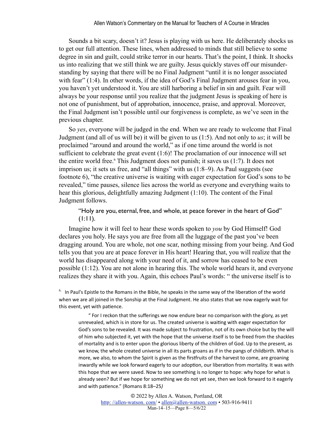Sounds a bit scary, doesn't it? Jesus is playing with us here. He deliberately shocks us to get our full attention. These lines, when addressed to minds that still believe to some degree in sin and guilt, could strike terror in our hearts. That's the point, I think. It shocks us into realizing that we still think we are guilty. Jesus quickly staves off our misunderstanding by saying that there will be no Final Judgment "until it is no longer associated with fear" (1:4). In other words, if the idea of God's Final Judgment arouses fear in you, you haven't yet understood it. You are still harboring a belief in sin and guilt. Fear will always be your response until you realize that the judgment Jesus is speaking of here is not one of punishment, but of approbation, innocence, praise, and approval. Moreover, the Final Judgment isn't possible until our forgiveness is complete, as we've seen in the previous chapter.

<span id="page-7-1"></span>So *yes*, everyone will be judged in the end. When we are ready to welcome that Final Judgment (and all of us will be) it will be given to us (1:5). And not only to *us*; it will be proclaimed "around and around the world," as if one time around the world is not sufficient to celebrate the great event (1:6)! The proclamation of our innocence will set the entire world free.<sup>[6](#page-7-0)</sup> This Judgment does not punish; it saves us (1:7). It does not imprison us; it sets us free, and "all things" with us (1:8–9). As Paul suggests (see footnote 6), "the creative universe is waiting with eager expectation for God's sons to be revealed," time pauses, silence lies across the world as everyone and everything waits to hear this glorious, delightfully amazing Judgment (1:10). The content of the Final Judgment follows.

"Holy are you, eternal, free, and whole, at peace forever in the heart of God"  $(l:1)$ .

Imagine how it will feel to hear these words spoken to *you* by God Himself! God declares you holy. He says you are free from all the luggage of the past you've been dragging around. You are whole, not one scar, nothing missing from your being. And God tells you that you are at peace forever in His heart! Hearing that, you will realize that the world has disappeared along with your need of it, and sorrow has ceased to be even possible (1:12). You are not alone in hearing this. The whole world hears it, and everyone realizes they share it with you. Again, this echoes Paul's words: " the universe itself is to

<span id="page-7-0"></span> $6.$  In Paul's Epistle to the Romans in the Bible, he speaks in the same way of the liberation of the world when we are all joined in the Sonship at the Final Judgment. He also states that we now eagerly wait for this event, yet with patience.

" For I reckon that the sufferings we now endure bear no comparison with the glory, as yet unrevealed, which is in store for us. The created universe is waiting with eager expectation for God's sons to be revealed. It was made subject to frustration, not of its own choice but by the will of him who subjected it, yet with the hope that the universe itself is to be freed from the shackles of mortality and is to enter upon the glorious liberty of the children of God. Up to the present, as we know, the whole created universe in all its parts groans as if in the pangs of childbirth. What is more, we also, to whom the Spirit is given as the firstfruits of the harvest to come, are groaning inwardly while we look forward eagerly to our adoption, our liberation from mortality. It was with this hope that we were saved. Now to see something is no longer to hope: why hope for what is already seen? But if we hope for something we do not yet see, then we look forward to it eagerly and with patience." (Romans 8:18-25)

> © 2022 by Allen A. Watson, Portland, OR http://allen-watson.com/ • allen@allen-watson.com • 503-916-9411 Man-14–15—Page 8—5/6/22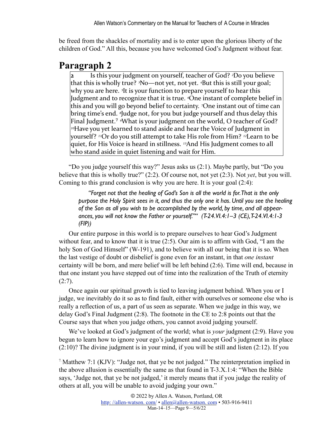be freed from the shackles of mortality and is to enter upon the glorious liberty of the children of God." All this, because you have welcomed God's Judgment without fear.

# **Paragraph 2**

Is this your judgment on yourself, teacher of God? <sup>2</sup>Do you believe that this is wholly true? <sup>3</sup>No—not yet, not yet. <sup>4</sup>But this is still your goal; why you are here. <sup>5</sup>It is your function to prepare yourself to hear this Judgment and to recognize that it is true. *One* instant of complete belief in this and you will go beyond belief to certainty. <sup>7</sup>One instant out of time can bring time's end. <sup>*§*Judge not, for you but judge yourself and thus delay this</sup> Final Judgment.<sup>7</sup> <sup>*N*</sup>hat is your judgment on the world, O teacher of God? <sup>10</sup>Have you yet learned to stand aside and hear the Voice of Judgment in yourself? <sup>11</sup>Or do you still attempt to take His role from Him? <sup>12</sup>Learn to be quiet, for His Voice is heard in stillness. <sup>13</sup>And His Judgment comes to all who stand aside in quiet listening and wait for Him.

<span id="page-8-1"></span>"Do you judge yourself this way?" Jesus asks us (2:1). Maybe partly, but "Do you believe that this is wholly true?" (2:2). Of course not, not yet (2:3). Not *yet*, but you will. Coming to this grand conclusion is why you are here. It is your goal (2:4):

*"Forget not that the healing of God's Son is all the world is for. That is the only purpose the Holy Spirit sees in it, and thus the only one it has. Until you see the healing of the Son as all you wish to be accomplished by the world, by time, and all appearances, you will not know the Father or yourself."" (T-24.VI.4:1–3 (CE), T-24.VI.4:1-3 (FIP))*

Our entire purpose in this world is to prepare ourselves to hear God's Judgment without fear, and to know that it is true (2:5). Our aim is to affirm with God, "I am the holy Son of God Himself" (W-191), and to believe with all our being that it is so. When the last vestige of doubt or disbelief is gone even for an instant, in that *one instant* certainty will be born, and mere belief will be left behind (2:6). Time will end, because in that one instant you have stepped out of time into the realization of the Truth of eternity  $(2:7)$ .

Once again our spiritual growth is tied to leaving judgment behind. When you or I judge, we inevitably do it so as to find fault, either with ourselves or someone else who is really a reflection of us, a part of us seen as separate. When we judge in this way, we delay God's Final Judgment (2:8). The footnote in the CE to 2:8 points out that the Course says that when you judge others, you cannot avoid judging yourself.

We've looked at God's judgment of the world; what is *your* judgment (2:9). Have you begun to learn how to ignore your ego's judgment and accept God's judgment in its place (2:10)? The divine judgment is in your mind, if you will be still and listen (2:12). If you

<span id="page-8-0"></span><sup>7</sup> Matthew 7:1 (KJV): "Judge not, that ye be not judged." The reinterpretation implied in the above allusion is essentially the same as that found in T-3.X.1:4: "When the Bible says, 'Judge not, that ye be not judged,' it merely means that if you judge the reality of others at all, you will be unable to avoid judging your own."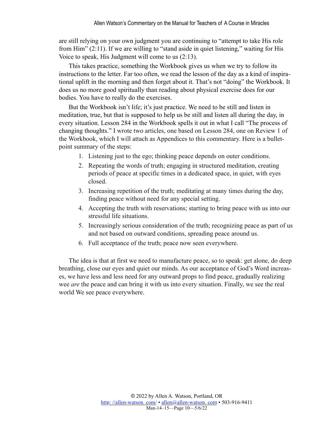are still relying on your own judgment you are continuing to "attempt to take His role from Him" (2:11). If we are willing to "stand aside in quiet listening," waiting for His Voice to speak, His Judgment will come to us (2:13).

This takes practice, something the Workbook gives us when we try to follow its instructions to the letter. Far too often, we read the lesson of the day as a kind of inspirational uplift in the morning and then forget about it. That's not "doing" the Workbook. It does us no more good spiritually than reading about physical exercise does for our bodies. You have to really do the exercises.

But the Workbook isn't life; it's just practice. We need to be still and listen in meditation, true, but that is supposed to help us be still and listen all during the day, in every situation. Lesson 284 in the Workbook spells it out in what I call "The process of changing thoughts." I wrote two articles, one based on Lesson 284, one on Review 1 of the Workbook, which I will attach as Appendices to this commentary. Here is a bulletpoint summary of the steps:

- 1. Listening just to the ego; thinking peace depends on outer conditions.
- 2. Repeating the words of truth; engaging in structured meditation, creating periods of peace at specific times in a dedicated space, in quiet, with eyes closed.
- 3. Increasing repetition of the truth; meditating at many times during the day, finding peace without need for any special setting.
- 4. Accepting the truth with reservations; starting to bring peace with us into our stressful life situations.
- 5. Increasingly serious consideration of the truth; recognizing peace as part of us and not based on outward conditions, spreading peace around us.
- 6. Full acceptance of the truth; peace now seen everywhere.

The idea is that at first we need to manufacture peace, so to speak: get alone, do deep breathing, close our eyes and quiet our minds. As our acceptance of God's Word increases, we have less and less need for any outward props to find peace, gradually realizing wee *are* the peace and can bring it with us into every situation. Finally, we see the real world We see peace everywhere.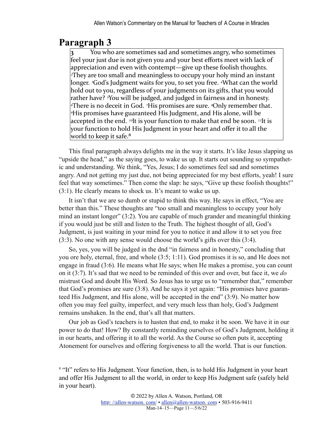# **Paragraph 3**

You who are sometimes sad and sometimes angry, who sometimes feel your just due is not given you and your best efforts meet with lack of appreciation and even with contempt—give up these foolish thoughts. *<sup>2</sup>They* are too small and meaningless to occupy your holy mind an instant longer. <sup>3</sup>God's Judgment waits for you, to set you free. <sup>4</sup>What can the world hold out to you, regardless of your judgments on its gifts, that you would rather have? <sup>*s*You will be judged, and judged in fairness and in honesty.</sup> *<sup>√There is no deceit in God. <sup>7</sup>His promises are sure. <sup><i>§*</sup>Only remember that.</sup> **His promises have guaranteed His Judgment, and His alone, will be** accepted in the end. <sup>10</sup>It is your function to make that end be soon. <sup>11</sup>It is your function to hold His Judgment in your heart and offer it to all the world to keep it safe. $8$ 

<span id="page-10-1"></span>This final paragraph always delights me in the way it starts. It's like Jesus slapping us "upside the head," as the saying goes, to wake us up. It starts out sounding so sympathetic and understanding. We think, "Yes, Jesus; I do sometimes feel sad and sometimes angry. And not getting my just due, not being appreciated for my best efforts, yeah! I sure feel that way sometimes." Then come the slap: he says, "Give up these foolish thoughts!" (3:1). He clearly means to shock us. It's meant to wake us up.

It isn't that we are so dumb or stupid to think this way. He says in effect, "You are better than this." These thoughts are "too small and meaningless to occupy your holy mind an instant longer" (3:2). You are capable of much grander and meaningful thinking if you would just be still and listen to the Truth. The highest thought of all, God's Judgment, is just waiting in your mind for you to notice it and allow it to set you free (3:3). No one with any sense would choose the world's gifts over this (3:4).

So, yes, you will be judged in the dnd "in fairness and in honesty," concluding that you ore holy, eternal, free, and whole (3:5; 1:11). God promises it is so, and He does not engage in fraud (3:6). He means what He says; when He makes a promise, you can count on it (3:7). It's sad that we need to be reminded of this over and over, but face it, we *do* mistrust God and doubt His Word. So Jesus has to urge us to "remember that," remember that God's promises are sure (3:8). And he says it yet again: "His promises have guaranteed His Judgment, and His alone, will be accepted in the end" (3:9). No matter how often you may feel guilty, imperfect, and very much less than holy, God's Judgment remains unshaken. In the end, that's all that matters.

Our job as God's teachers is to hasten that end, to make it be soon. We have it in our power to do that! How? By constantly reminding ourselves of God's Judgment, holding it in our hearts, and offering it to all the world. As the Course so often puts it, accepting Atonement for ourselves and offering forgiveness to all the world. That is our function.

<span id="page-10-0"></span><sup>&</sup>lt;sup>[8.](#page-10-1) "It"</sup> refers to His Judgment. Your function, then, is to hold His Judgment in your heart and offer His Judgment to all the world, in order to keep His Judgment safe (safely held in your heart).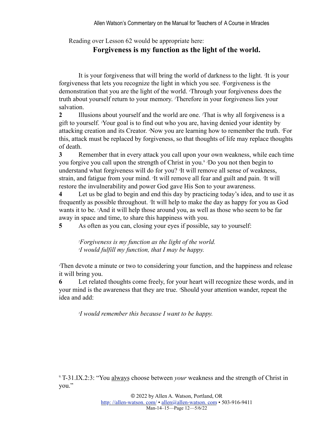Reading over Lesson 62 would be appropriate here:

### **Forgiveness is my function as the light of the world.**

It is your forgiveness that will bring the world of darkness to the light. *<sup>2</sup>* It is your forgiveness that lets you recognize the light in which you see. *<sup>3</sup>* Forgiveness is the demonstration that you are the light of the world. *<sup>4</sup>* Through your forgiveness does the truth about yourself return to your memory. *<sup>5</sup>* Therefore in your forgiveness lies your salvation.

**2** Illusions about yourself and the world are one. <sup>2</sup>That is why all forgiveness is a gift to yourself. *<sup>3</sup>* Your goal is to find out who you are, having denied your identity by attacking creation and its Creator. *<sup>4</sup>* Now you are learning how to remember the truth. *<sup>5</sup>* For this, attack must be replaced by forgiveness, so that thoughts of life may replace thoughts of death.

<span id="page-11-1"></span>**3** Remember that in every attack you call upon your own weakness, while each time you forgive you call upon the strength of Christ in you.[9](#page-11-0) *<sup>2</sup>* Do you not then begin to understand what forgiveness will do for you? *<sup>3</sup>* It will remove all sense of weakness, strain, and fatigue from your mind. <sup>4</sup>It will remove all fear and guilt and pain. <sup>5</sup>It will restore the invulnerability and power God gave His Son to your awareness.

**4** Let us be glad to begin and end this day by practicing today's idea, and to use it as frequently as possible throughout. *<sup>2</sup>* It will help to make the day as happy for you as God wants it to be. *<sup>3</sup>* And it will help those around you, as well as those who seem to be far away in space and time, to share this happiness with you.

**5** As often as you can, closing your eyes if possible, say to yourself:

*2 Forgiveness is my function as the light of the world. 3 I would fulfill my function, that I may be happy.*

*4* Then devote a minute or two to considering your function, and the happiness and release it will bring you.

**6** Let related thoughts come freely, for your heart will recognize these words, and in your mind is the awareness that they are true. *<sup>2</sup>* Should your attention wander, repeat the idea and add:

*3 I would remember this because I want to be happy.*

<span id="page-11-0"></span>[9.](#page-11-1)T-31.IX.2:3: "You always choose between *your* weakness and the strength of Christ in you."

> © 2022 by Allen A. Watson, Portland, OR http://allen-watson.com/ • allen@allen-watson.com • 503-916-9411 Man-14–15—Page 12—5/6/22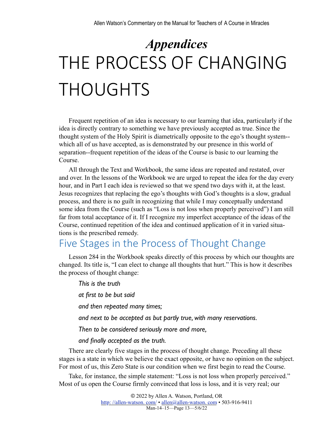# *Appendices* THE PROCESS OF CHANGING THOUGHTS

Frequent repetition of an idea is necessary to our learning that idea, particularly if the idea is directly contrary to something we have previously accepted as true. Since the thought system of the Holy Spirit is diametrically opposite to the ego's thought system- which all of us have accepted, as is demonstrated by our presence in this world of separation--frequent repetition of the ideas of the Course is basic to our learning the Course.

All through the Text and Workbook, the same ideas are repeated and restated, over and over. In the lessons of the Workbook we are urged to repeat the idea for the day every hour, and in Part I each idea is reviewed so that we spend two days with it, at the least. Jesus recognizes that replacing the ego's thoughts with God's thoughts is a slow, gradual process, and there is no guilt in recognizing that while I may conceptually understand some idea from the Course (such as "Loss is not loss when properly perceived") I am still far from total acceptance of it. If I recognize my imperfect acceptance of the ideas of the Course, continued repetition of the idea and continued application of it in varied situations is the prescribed remedy.

# Five Stages in the Process of Thought Change

Lesson 284 in the Workbook speaks directly of this process by which our thoughts are changed. Its title is, "I can elect to change all thoughts that hurt." This is how it describes the process of thought change:

*This is the truth at first to be but said and then repeated many times; and next to be accepted as but partly true, with many reservations. Then to be considered seriously more and more, and finally accepted as the truth.*

There are clearly five stages in the process of thought change. Preceding all these stages is a state in which we believe the exact opposite, or have no opinion on the subject. For most of us, this Zero State is our condition when we first begin to read the Course.

Take, for instance, the simple statement: "Loss is not loss when properly perceived." Most of us open the Course firmly convinced that loss is loss, and it is very real; our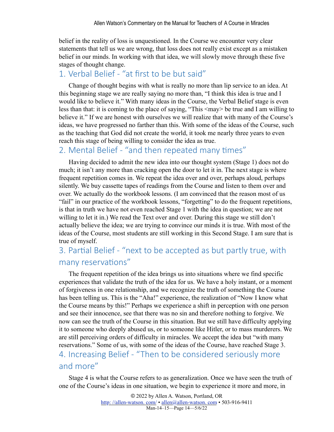belief in the reality of loss is unquestioned. In the Course we encounter very clear statements that tell us we are wrong, that loss does not really exist except as a mistaken belief in our minds. In working with that idea, we will slowly move through these five stages of thought change.

### 1. Verbal Belief - "at first to be but said"

Change of thought begins with what is really no more than lip service to an idea. At this beginning stage we are really saying no more than, "I think this idea is true and I would like to believe it." With many ideas in the Course, the Verbal Belief stage is even less than that: it is coming to the place of saying, "This <may> be true and I am willing to believe it." If we are honest with ourselves we will realize that with many of the Course's ideas, we have progressed no farther than this. With some of the ideas of the Course, such as the teaching that God did not create the world, it took me nearly three years to even reach this stage of being willing to consider the idea as true.

### 2. Mental Belief - "and then repeated many times"

Having decided to admit the new idea into our thought system (Stage 1) does not do much; it isn't any more than cracking open the door to let it in. The next stage is where frequent repetition comes in. We repeat the idea over and over, perhaps aloud, perhaps silently. We buy cassette tapes of readings from the Course and listen to them over and over. We actually do the workbook lessons. (I am convinced that the reason most of us "fail" in our practice of the workbook lessons, "forgetting" to do the frequent repetitions, is that in truth we have not even reached Stage 1 with the idea in question; we are not willing to let it in.) We read the Text over and over. During this stage we still don't actually believe the idea; we are trying to convince our minds it is true. With most of the ideas of the Course, most students are still working in this Second Stage. I am sure that is true of myself.

# 3. Partial Belief - "next to be accepted as but partly true, with many reservations"

The frequent repetition of the idea brings us into situations where we find specific experiences that validate the truth of the idea for us. We have a holy instant, or a moment of forgiveness in one relationship, and we recognize the truth of something the Course has been telling us. This is the "Aha!" experience, the realization of "Now I know what the Course means by this!" Perhaps we experience a shift in perception with one person and see their innocence, see that there was no sin and therefore nothing to forgive. We now can see the truth of the Course in this situation. But we still have difficulty applying it to someone who deeply abused us, or to someone like Hitler, or to mass murderers. We are still perceiving orders of difficulty in miracles. We accept the idea but "with many reservations." Some of us, with some of the ideas of the Course, have reached Stage 3. 4. Increasing Belief - "Then to be considered seriously more and more"

Stage 4 is what the Course refers to as generalization. Once we have seen the truth of one of the Course's ideas in one situation, we begin to experience it more and more, in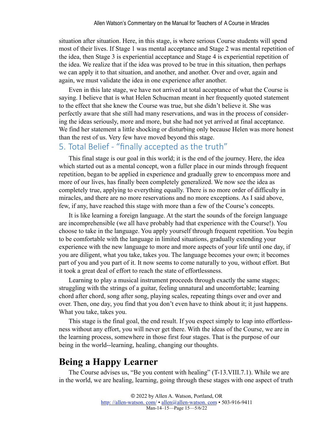situation after situation. Here, in this stage, is where serious Course students will spend most of their lives. If Stage 1 was mental acceptance and Stage 2 was mental repetition of the idea, then Stage 3 is experiential acceptance and Stage 4 is experiential repetition of the idea. We realize that if the idea was proved to be true in this situation, then perhaps we can apply it to that situation, and another, and another. Over and over, again and again, we must validate the idea in one experience after another.

Even in this late stage, we have not arrived at total acceptance of what the Course is saying. I believe that is what Helen Schucman meant in her frequently quoted statement to the effect that she knew the Course was true, but she didn't believe it. She was perfectly aware that she still had many reservations, and was in the process of considering the ideas seriously, more and more, but she had not yet arrived at final acceptance. We find her statement a little shocking or disturbing only because Helen was more honest than the rest of us. Very few have moved beyond this stage.

### 5. Total Belief - "finally accepted as the truth"

This final stage is our goal in this world; it is the end of the journey. Here, the idea which started out as a mental concept, won a fuller place in our minds through frequent repetition, began to be applied in experience and gradually grew to encompass more and more of our lives, has finally been completely generalized. We now see the idea as completely true, applying to everything equally. There is no more order of difficulty in miracles, and there are no more reservations and no more exceptions. As I said above, few, if any, have reached this stage with more than a few of the Course's concepts.

It is like learning a foreign language. At the start the sounds of the foreign language are incomprehensible (we all have probably had that experience with the Course!). You choose to take in the language. You apply yourself through frequent repetition. You begin to be comfortable with the language in limited situations, gradually extending your experience with the new language to more and more aspects of your life until one day, if you are diligent, what you take, takes you. The language becomes your own; it becomes part of you and you part of it. It now seems to come naturally to you, without effort. But it took a great deal of effort to reach the state of effortlessness.

Learning to play a musical instrument proceeds through exactly the same stages; struggling with the strings of a guitar, feeling unnatural and uncomfortable; learning chord after chord, song after song, playing scales, repeating things over and over and over. Then, one day, you find that you don't even have to think about it; it just happens. What you take, takes you.

This stage is the final goal, the end result. If you expect simply to leap into effortlessness without any effort, you will never get there. With the ideas of the Course, we are in the learning process, somewhere in those first four stages. That is the purpose of our being in the world--learning, healing, changing our thoughts.

## **Being a Happy Learner**

The Course advises us, "Be you content with healing" (T-13.VIII.7.1). While we are in the world, we are healing, learning, going through these stages with one aspect of truth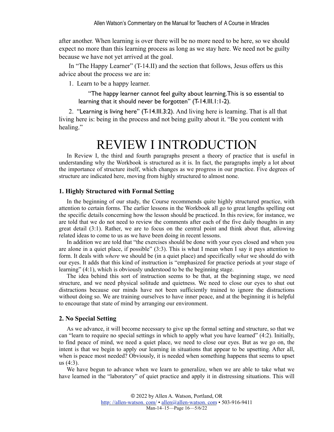after another. When learning is over there will be no more need to be here, so we should expect no more than this learning process as long as we stay here. We need not be guilty because we have not yet arrived at the goal.

In "The Happy Learner" (T-14.II) and the section that follows, Jesus offers us this advice about the process we are in:

1. Learn to be a happy learner.

"The happy learner cannot feel guilty about learning. This is so essential to learning that it should never be forgotten" (T-14.III.1:1-2).

2. "Learning is living here" (T-14.III.3:2). And living here is learning. That is all that living here is: being in the process and not being guilty about it. "Be you content with healing."

# REVIEW I INTRODUCTION

In Review I, the third and fourth paragraphs present a theory of practice that is useful in understanding why the Workbook is structured as it is. In fact, the paragraphs imply a lot about the importance of structure itself, which changes as we progress in our practice. Five degrees of structure are indicated here, moving from highly structured to almost none.

#### **1. Highly Structured with Formal Setting**

In the beginning of our study, the Course recommends quite highly structured practice, with attention to certain forms. The earlier lessons in the Workbook all go to great lengths spelling out the specific details concerning how the lesson should be practiced. In this review, for instance, we are told that we do not need to review the comments after each of the five daily thoughts in any great detail (3:1). Rather, we are to focus on the central point and think about that, allowing related ideas to come to us as we have been doing in recent lessons.

In addition we are told that "the exercises should be done with your eyes closed and when you are alone in a quiet place, if possible" (3:3). This is what I mean when I say it pays attention to form. It deals with *where* we should be (in a quiet place) and specifically *what* we should do with our eyes. It adds that this kind of instruction is "emphasized for practice periods at your stage of learning" (4:1), which is obviously understood to be the beginning stage.

The idea behind this sort of instruction seems to be that, at the beginning stage, we need structure, and we need physical solitude and quietness. We need to close our eyes to shut out distractions because our minds have not been sufficiently trained to ignore the distractions without doing so. We are training ourselves to have inner peace, and at the beginning it is helpful to encourage that state of mind by arranging our environment.

### **2. No Special Setting**

As we advance, it will become necessary to give up the formal setting and structure, so that we can "learn to require no special settings in which to apply what you have learned" (4:2). Initially, to find peace of mind, we need a quiet place, we need to close our eyes. But as we go on, the intent is that we begin to apply our learning in situations that appear to be upsetting. After all, when is peace most needed? Obviously, it is needed when something happens that seems to upset us (4:3).

We have begun to advance when we learn to generalize, when we are able to take what we have learned in the "laboratory" of quiet practice and apply it in distressing situations. This will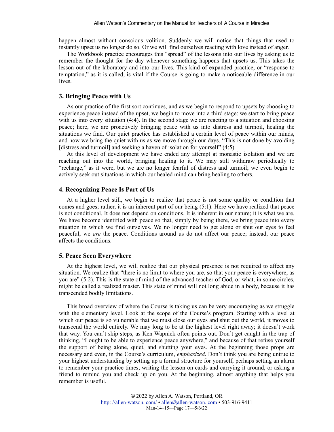happen almost without conscious volition. Suddenly we will notice that things that used to instantly upset us no longer do so. Or we will find ourselves reacting with love instead of anger.

The Workbook practice encourages this "spread" of the lessons into our lives by asking us to remember the thought for the day whenever something happens that upsets us. This takes the lesson out of the laboratory and into our lives. This kind of expanded practice, or "response to temptation," as it is called, is vital if the Course is going to make a noticeable difference in our lives.

#### **3. Bringing Peace with Us**

As our practice of the first sort continues, and as we begin to respond to upsets by choosing to experience peace instead of the upset, we begin to move into a third stage: we start to bring peace with us into every situation (4:4). In the second stage we are reacting to a situation and choosing peace; here, we are proactively bringing peace with us into distress and turmoil, healing the situations we find. Our quiet practice has established a certain level of peace within our minds, and now we bring the quiet with us as we move through our days. "This is not done by avoiding [distress and turmoil] and seeking a haven of isolation for yourself" (4:5).

At this level of development we have ended any attempt at monastic isolation and we are reaching out into the world, bringing healing to it. We may still withdraw periodically to "recharge," as it were, but we are no longer fearful of distress and turmoil; we even begin to actively seek out situations in which our healed mind can bring healing to others.

#### **4. Recognizing Peace Is Part of Us**

At a higher level still, we begin to realize that peace is not some quality or condition that comes and goes; rather, it is an inherent part of our being (5:1). Here we have realized that peace is not conditional. It does not depend on conditions. It is inherent in our nature; it is what we are. We have become identified with peace so that, simply by being there, we bring peace into every situation in which we find ourselves. We no longer need to get alone or shut our eyes to feel peaceful; we *are* the peace. Conditions around us do not affect our peace; instead, our peace affects the conditions.

#### **5. Peace Seen Everywhere**

At the highest level, we will realize that our physical presence is not required to affect any situation. We realize that "there is no limit to where you are, so that your peace is everywhere, as you are" (5:2). This is the state of mind of the advanced teacher of God, or what, in some circles, might be called a realized master. This state of mind will not long abide in a body, because it has transcended bodily limitations.

This broad overview of where the Course is taking us can be very encouraging as we struggle with the elementary level. Look at the scope of the Course's program. Starting with a level at which our peace is so vulnerable that we must close our eyes and shut out the world, it moves to transcend the world entirely. We may long to be at the highest level right away; it doesn't work that way. You can't skip steps, as Ken Wapnick often points out. Don't get caught in the trap of thinking, "I ought to be able to experience peace anywhere," and because of that refuse yourself the support of being alone, quiet, and shutting your eyes. At the beginning those props are necessary and even, in the Course's curriculum, *emphasized*. Don't think you are being untrue to your highest understanding by setting up a formal structure for yourself, perhaps setting an alarm to remember your practice times, writing the lesson on cards and carrying it around, or asking a friend to remind you and check up on you. At the beginning, almost anything that helps you remember is useful.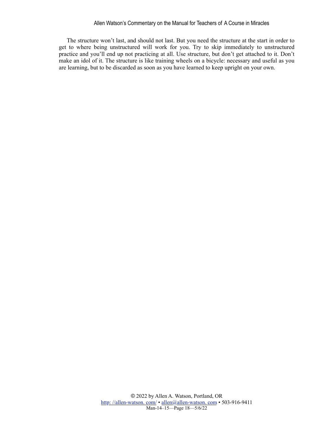#### Allen Watson's Commentary on the Manual for Teachers of A Course in Miracles

The structure won't last, and should not last. But you need the structure at the start in order to get to where being unstructured will work for you. Try to skip immediately to unstructured practice and you'll end up not practicing at all. Use structure, but don't get attached to it. Don't make an idol of it. The structure is like training wheels on a bicycle: necessary and useful as you are learning, but to be discarded as soon as you have learned to keep upright on your own.